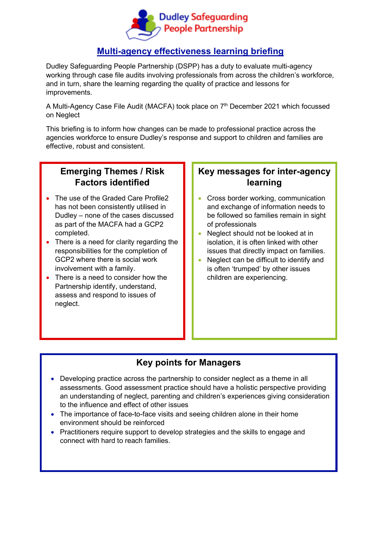

# **Multi-agency effectiveness learning briefing**

Dudley Safeguarding People Partnership (DSPP) has a duty to evaluate multi-agency working through case file audits involving professionals from across the children's workforce, and in turn, share the learning regarding the quality of practice and lessons for improvements.

A Multi-Agency Case File Audit (MACFA) took place on 7<sup>th</sup> December 2021 which focussed on Neglect

This briefing is to inform how changes can be made to professional practice across the agencies workforce to ensure Dudley's response and support to children and families are effective, robust and consistent.

# **Emerging Themes / Risk Factors identified**

- The use of the Graded Care Profile2 has not been consistently utilised in Dudley – none of the cases discussed as part of the MACFA had a GCP2 completed.
- There is a need for clarity regarding the responsibilities for the completion of GCP2 where there is social work involvement with a family.
- There is a need to consider how the Partnership identify, understand, assess and respond to issues of neglect.

# **Key messages for inter-agency learning**

- Cross border working, communication and exchange of information needs to be followed so families remain in sight of professionals
- Neglect should not be looked at in isolation, it is often linked with other issues that directly impact on families.
- Neglect can be difficult to identify and is often 'trumped' by other issues children are experiencing.

### **Key points for Managers**

- Developing practice across the partnership to consider neglect as a theme in all assessments. Good assessment practice should have a holistic perspective providing an understanding of neglect, parenting and children's experiences giving consideration to the influence and effect of other issues
- The importance of face-to-face visits and seeing children alone in their home environment should be reinforced
- Practitioners require support to develop strategies and the skills to engage and connect with hard to reach families.